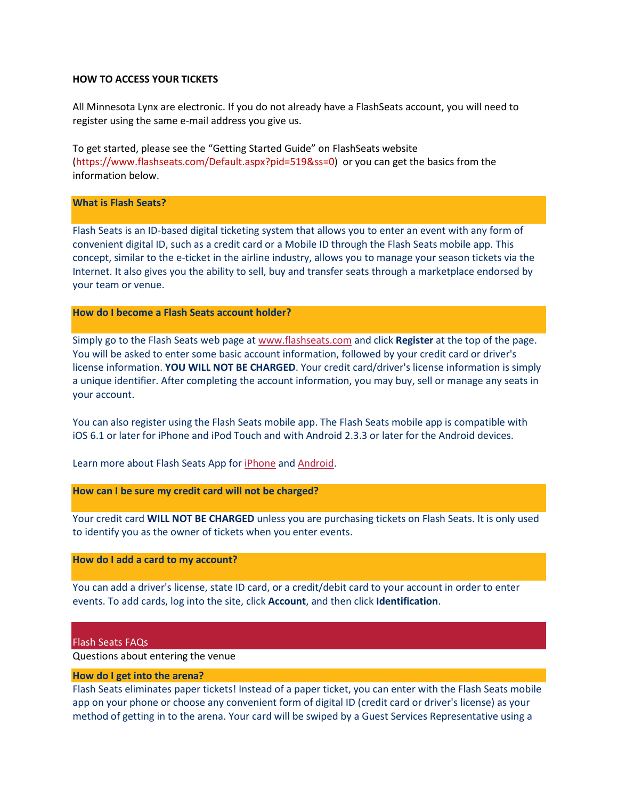## **HOW TO ACCESS YOUR TICKETS**

All Minnesota Lynx are electronic. If you do not already have a FlashSeats account, you will need to register using the same e-mail address you give us.

To get started, please see the "Getting Started Guide" on FlashSeats website [\(https://www.flashseats.com/Default.aspx?pid=519&ss=0\)](https://www.flashseats.com/Default.aspx?pid=519&ss=0) or you can get the basics from the information below.

# **What is Flash Seats?**

Flash Seats is an ID-based digital ticketing system that allows you to enter an event with any form of convenient digital ID, such as a credit card or a Mobile ID through the Flash Seats mobile app. This concept, similar to the e-ticket in the airline industry, allows you to manage your season tickets via the Internet. It also gives you the ability to sell, buy and transfer seats through a marketplace endorsed by your team or venue.

# **How do I become a Flash Seats account holder?**

Simply go to the Flash Seats web page at [www.flashseats.com](http://www.flashseats.com/) and click **Register** at the top of the page. You will be asked to enter some basic account information, followed by your credit card or driver's license information. **YOU WILL NOT BE CHARGED**. Your credit card/driver's license information is simply a unique identifier. After completing the account information, you may buy, sell or manage any seats in your account.

You can also register using the Flash Seats mobile app. The Flash Seats mobile app is compatible with iOS 6.1 or later for iPhone and iPod Touch and with Android 2.3.3 or later for the Android devices.

Learn more about Flash Seats App for [iPhone](https://itunes.apple.com/us/app/flash-seats/id679164752?mt=8&ign-mpt=uo%3D4) and [Android.](https://play.google.com/store/apps/details?id=com.flashseats.v2&hl=en)

**How can I be sure my credit card will not be charged?**

Your credit card **WILL NOT BE CHARGED** unless you are purchasing tickets on Flash Seats. It is only used to identify you as the owner of tickets when you enter events.

# **How do I add a card to my account?**

You can add a driver's license, state ID card, or a credit/debit card to your account in order to enter events. To add cards, log into the site, click **Account**, and then click **Identification**.

#### Flash Seats FAQs

Questions about entering the venue

# **How do I get into the arena?**

Flash Seats eliminates paper tickets! Instead of a paper ticket, you can enter with the Flash Seats mobile app on your phone or choose any convenient form of digital ID (credit card or driver's license) as your method of getting in to the arena. Your card will be swiped by a Guest Services Representative using a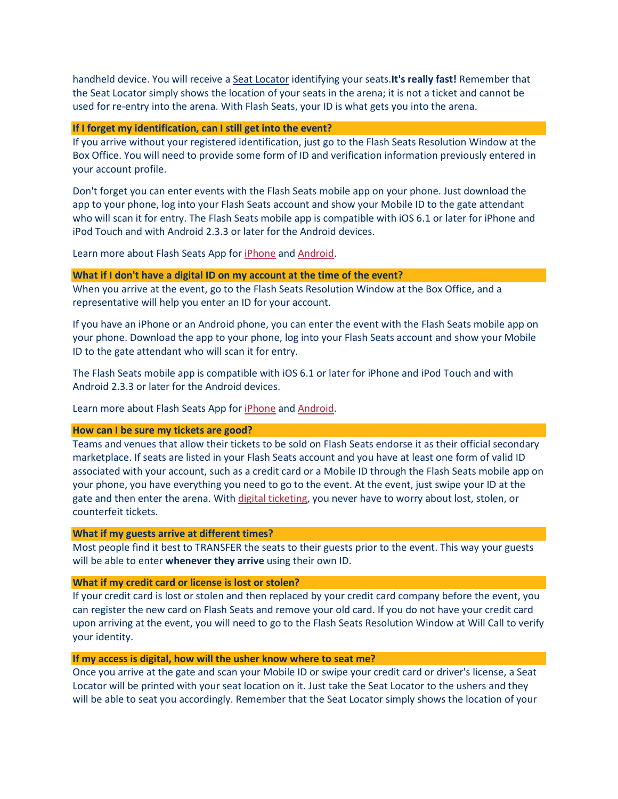handheld device. You will receive a [Seat Locator](https://www.flashseats.com/FAQsDetails.aspx?ss=0&a=2#e8) identifying your seats.**It's really fast!** Remember that the Seat Locator simply shows the location of your seats in the arena; it is not a ticket and cannot be used for re-entry into the arena. With Flash Seats, your ID is what gets you into the arena.

#### **If I forget my identification, can I still get into the event?**

If you arrive without your registered identification, just go to the Flash Seats Resolution Window at the Box Office. You will need to provide some form of ID and verification information previously entered in your account profile.

Don't forget you can enter events with the Flash Seats mobile app on your phone. Just download the app to your phone, log into your Flash Seats account and show your Mobile ID to the gate attendant who will scan it for entry. The Flash Seats mobile app is compatible with iOS 6.1 or later for iPhone and iPod Touch and with Android 2.3.3 or later for the Android devices.

Learn more about Flash Seats App for [iPhone](https://itunes.apple.com/us/app/flash-seats/id679164752?mt=8&ign-pt=uo%3D4) and [Android.](https://play.google.com/store/apps/details?id=com.flashseats.v2&hl=en)

#### **What if I don't have a digital ID on my account at the time of the event?**

When you arrive at the event, go to the Flash Seats Resolution Window at the Box Office, and a representative will help you enter an ID for your account.

If you have an iPhone or an Android phone, you can enter the event with the Flash Seats mobile app on your phone. Download the app to your phone, log into your Flash Seats account and show your Mobile ID to the gate attendant who will scan it for entry.

The Flash Seats mobile app is compatible with iOS 6.1 or later for iPhone and iPod Touch and with Android 2.3.3 or later for the Android devices.

Learn more about Flash Seats App for *[iPhone](https://itunes.apple.com/us/app/flash-seats/id679164752?mt=8&ign-pt=uo%3D4)* and **Android**.

#### **How can I be sure my tickets are good?**

Teams and venues that allow their tickets to be sold on Flash Seats endorse it as their official secondary marketplace. If seats are listed in your Flash Seats account and you have at least one form of valid ID associated with your account, such as a credit card or a Mobile ID through the Flash Seats mobile app on your phone, you have everything you need to go to the event. At the event, just swipe your ID at the gate and then enter the arena. With [digital ticketing,](https://www.flashseats.com/ElectronicTicketing.aspx?ss=0) you never have to worry about lost, stolen, or counterfeit tickets.

#### **What if my guests arrive at different times?**

Most people find it best to TRANSFER the seats to their guests prior to the event. This way your guests will be able to enter **whenever they arrive** using their own ID.

## **What if my credit card or license is lost or stolen?**

If your credit card is lost or stolen and then replaced by your credit card company before the event, you can register the new card on Flash Seats and remove your old card. If you do not have your credit card upon arriving at the event, you will need to go to the Flash Seats Resolution Window at Will Call to verify your identity.

#### **If my access is digital, how will the usher know where to seat me?**

Once you arrive at the gate and scan your Mobile ID or swipe your credit card or driver's license, a Seat Locator will be printed with your seat location on it. Just take the Seat Locator to the ushers and they will be able to seat you accordingly. Remember that the Seat Locator simply shows the location of your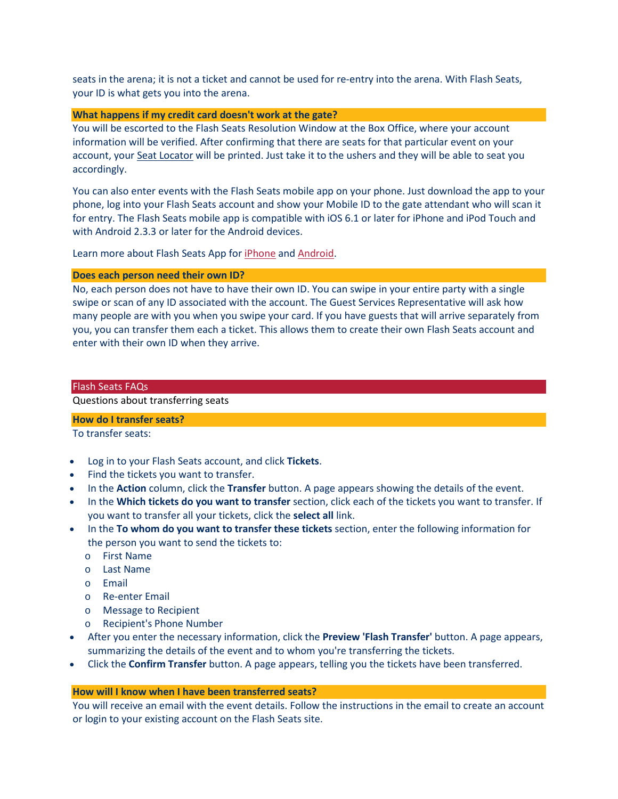seats in the arena; it is not a ticket and cannot be used for re-entry into the arena. With Flash Seats, your ID is what gets you into the arena.

#### **What happens if my credit card doesn't work at the gate?**

You will be escorted to the Flash Seats Resolution Window at the Box Office, where your account information will be verified. After confirming that there are seats for that particular event on your account, your [Seat Locator](https://www.flashseats.com/FAQsDetails.aspx?ss=0&a=2#e8) will be printed. Just take it to the ushers and they will be able to seat you accordingly.

You can also enter events with the Flash Seats mobile app on your phone. Just download the app to your phone, log into your Flash Seats account and show your Mobile ID to the gate attendant who will scan it for entry. The Flash Seats mobile app is compatible with iOS 6.1 or later for iPhone and iPod Touch and with Android 2.3.3 or later for the Android devices.

Learn more about Flash Seats App for [iPhone](https://itunes.apple.com/us/app/flash-seats/id679164752?mt=8&ign-pt=uo%3D4) and [Android.](https://play.google.com/store/apps/details?id=com.flashseats.v2&hl=en)

#### **Does each person need their own ID?**

No, each person does not have to have their own ID. You can swipe in your entire party with a single swipe or scan of any ID associated with the account. The Guest Services Representative will ask how many people are with you when you swipe your card. If you have guests that will arrive separately from you, you can transfer them each a ticket. This allows them to create their own Flash Seats account and enter with their own ID when they arrive.

#### Flash Seats FAQs

# Questions about transferring seats

# **How do I transfer seats?**

To transfer seats:

- Log in to your Flash Seats account, and click **Tickets**.
- Find the tickets you want to transfer.
- In the **Action** column, click the **Transfer** button. A page appears showing the details of the event.
- In the **Which tickets do you want to transfer** section, click each of the tickets you want to transfer. If you want to transfer all your tickets, click the **select all** link.
- In the **To whom do you want to transfer these tickets** section, enter the following information for the person you want to send the tickets to:
	- o First Name
	- o Last Name
	- o Email
	- o Re-enter Email
	- o Message to Recipient
	- o Recipient's Phone Number
- After you enter the necessary information, click the **Preview 'Flash Transfer'** button. A page appears, summarizing the details of the event and to whom you're transferring the tickets.
- Click the **Confirm Transfer** button. A page appears, telling you the tickets have been transferred.

# **How will I know when I have been transferred seats?**

You will receive an email with the event details. Follow the instructions in the email to create an account or login to your existing account on the Flash Seats site.